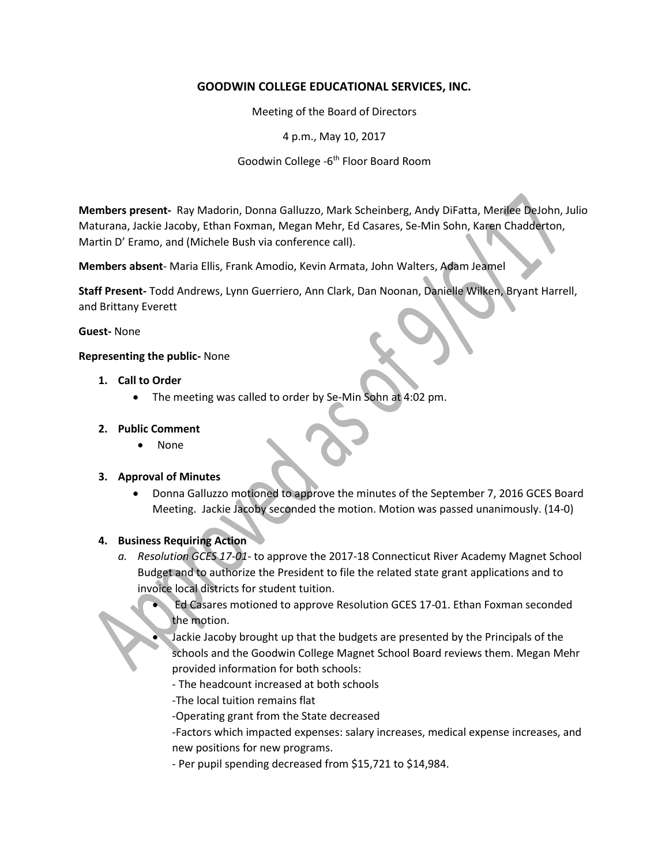# **GOODWIN COLLEGE EDUCATIONAL SERVICES, INC.**

Meeting of the Board of Directors

4 p.m., May 10, 2017

Goodwin College -6<sup>th</sup> Floor Board Room

**Members present-** Ray Madorin, Donna Galluzzo, Mark Scheinberg, Andy DiFatta, Merilee DeJohn, Julio Maturana, Jackie Jacoby, Ethan Foxman, Megan Mehr, Ed Casares, Se-Min Sohn, Karen Chadderton, Martin D' Eramo, and (Michele Bush via conference call).

**Members absent**- Maria Ellis, Frank Amodio, Kevin Armata, John Walters, Adam Jeamel

**Staff Present-** Todd Andrews, Lynn Guerriero, Ann Clark, Dan Noonan, Danielle Wilken, Bryant Harrell, and Brittany Everett

#### **Guest-** None

#### **Representing the public-** None

- **1. Call to Order**
	- The meeting was called to order by Se-Min Sohn at 4:02 pm.

#### **2. Public Comment**

None

#### **3. Approval of Minutes**

 Donna Galluzzo motioned to approve the minutes of the September 7, 2016 GCES Board Meeting. Jackie Jacoby seconded the motion. Motion was passed unanimously. (14-0)

## **4. Business Requiring Action**

- *a. Resolution GCES 17-01* to approve the 2017-18 Connecticut River Academy Magnet School Budget and to authorize the President to file the related state grant applications and to invoice local districts for student tuition.
	- Ed Casares motioned to approve Resolution GCES 17-01. Ethan Foxman seconded the motion.
	- Jackie Jacoby brought up that the budgets are presented by the Principals of the schools and the Goodwin College Magnet School Board reviews them. Megan Mehr provided information for both schools:
		- The headcount increased at both schools
		- -The local tuition remains flat
		- -Operating grant from the State decreased
		- -Factors which impacted expenses: salary increases, medical expense increases, and new positions for new programs.
		- Per pupil spending decreased from \$15,721 to \$14,984.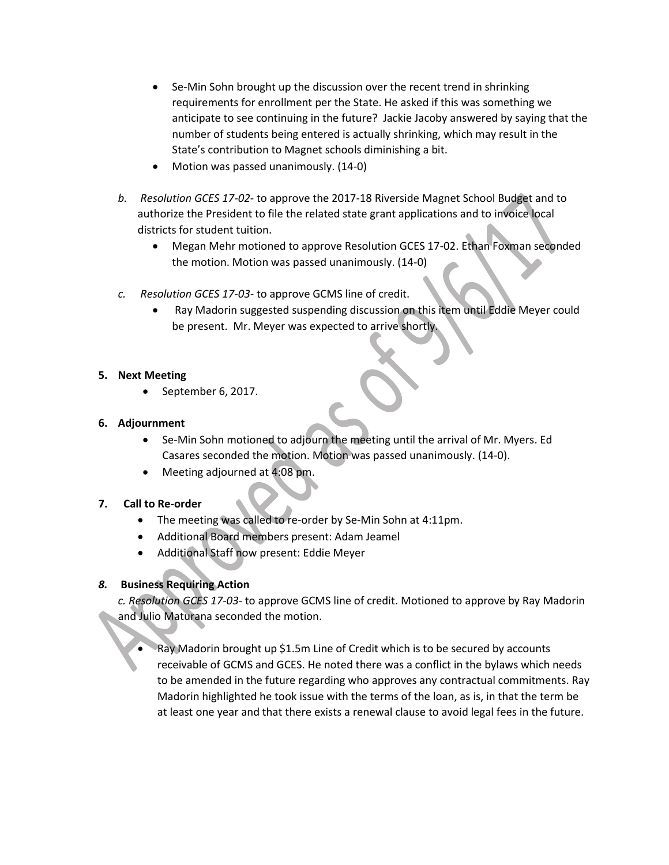- Se-Min Sohn brought up the discussion over the recent trend in shrinking requirements for enrollment per the State. He asked if this was something we anticipate to see continuing in the future? Jackie Jacoby answered by saying that the number of students being entered is actually shrinking, which may result in the State's contribution to Magnet schools diminishing a bit.
- Motion was passed unanimously. (14-0)
- *b. Resolution GCES 17-02* to approve the 2017-18 Riverside Magnet School Budget and to authorize the President to file the related state grant applications and to invoice local districts for student tuition.
	- Megan Mehr motioned to approve Resolution GCES 17-02. Ethan Foxman seconded the motion. Motion was passed unanimously. (14-0)
- *c. Resolution GCES 17-03-* to approve GCMS line of credit.
	- Ray Madorin suggested suspending discussion on this item until Eddie Meyer could be present. Mr. Meyer was expected to arrive shortly.

### **5. Next Meeting**

September 6, 2017.

### **6. Adjournment**

- Se-Min Sohn motioned to adjourn the meeting until the arrival of Mr. Myers. Ed Casares seconded the motion. Motion was passed unanimously. (14-0).
- Meeting adjourned at 4:08 pm.

## **7. Call to Re-order**

- The meeting was called to re-order by Se-Min Sohn at 4:11pm.
- Additional Board members present: Adam Jeamel
- Additional Staff now present: Eddie Meyer

## *8.* **Business Requiring Action**

*c. Resolution GCES 17-03-* to approve GCMS line of credit. Motioned to approve by Ray Madorin and Julio Maturana seconded the motion.

 Ray Madorin brought up \$1.5m Line of Credit which is to be secured by accounts receivable of GCMS and GCES. He noted there was a conflict in the bylaws which needs to be amended in the future regarding who approves any contractual commitments. Ray Madorin highlighted he took issue with the terms of the loan, as is, in that the term be at least one year and that there exists a renewal clause to avoid legal fees in the future.